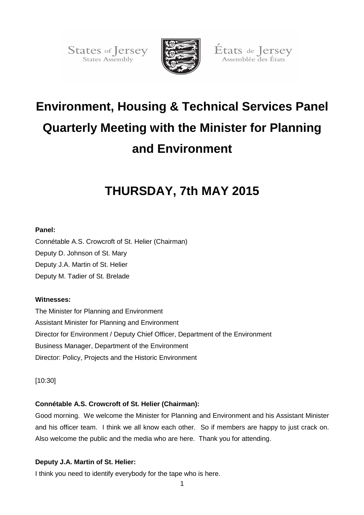States of Jersey<br>States Assembly



États de Jersey<br>Assemblée des États

# **Environment, Housing & Technical Services Panel Quarterly Meeting with the Minister for Planning and Environment**

## **THURSDAY, 7th MAY 2015**

## **Panel:**

Connétable A.S. Crowcroft of St. Helier (Chairman) Deputy D. Johnson of St. Mary Deputy J.A. Martin of St. Helier Deputy M. Tadier of St. Brelade

## **Witnesses:**

The Minister for Planning and Environment Assistant Minister for Planning and Environment Director for Environment / Deputy Chief Officer, Department of the Environment Business Manager, Department of the Environment Director: Policy, Projects and the Historic Environment

[10:30]

## **Connétable A.S. Crowcroft of St. Helier (Chairman):**

Good morning. We welcome the Minister for Planning and Environment and his Assistant Minister and his officer team. I think we all know each other. So if members are happy to just crack on. Also welcome the public and the media who are here. Thank you for attending.

## **Deputy J.A. Martin of St. Helier:**

I think you need to identify everybody for the tape who is here.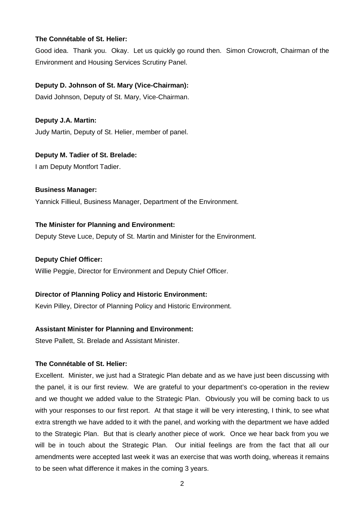## **The Connétable of St. Helier:**

Good idea. Thank you. Okay. Let us quickly go round then. Simon Crowcroft, Chairman of the Environment and Housing Services Scrutiny Panel.

## **Deputy D. Johnson of St. Mary (Vice-Chairman):**

David Johnson, Deputy of St. Mary, Vice-Chairman.

**Deputy J.A. Martin:**  Judy Martin, Deputy of St. Helier, member of panel.

**Deputy M. Tadier of St. Brelade:** 

I am Deputy Montfort Tadier.

**Business Manager:** 

Yannick Fillieul, Business Manager, Department of the Environment.

## **The Minister for Planning and Environment:**

Deputy Steve Luce, Deputy of St. Martin and Minister for the Environment.

#### **Deputy Chief Officer:**

Willie Peggie, Director for Environment and Deputy Chief Officer.

#### **Director of Planning Policy and Historic Environment:**

Kevin Pilley, Director of Planning Policy and Historic Environment.

## **Assistant Minister for Planning and Environment:**

Steve Pallett, St. Brelade and Assistant Minister.

#### **The Connétable of St. Helier:**

Excellent. Minister, we just had a Strategic Plan debate and as we have just been discussing with the panel, it is our first review. We are grateful to your department's co-operation in the review and we thought we added value to the Strategic Plan. Obviously you will be coming back to us with your responses to our first report. At that stage it will be very interesting, I think, to see what extra strength we have added to it with the panel, and working with the department we have added to the Strategic Plan. But that is clearly another piece of work. Once we hear back from you we will be in touch about the Strategic Plan. Our initial feelings are from the fact that all our amendments were accepted last week it was an exercise that was worth doing, whereas it remains to be seen what difference it makes in the coming 3 years.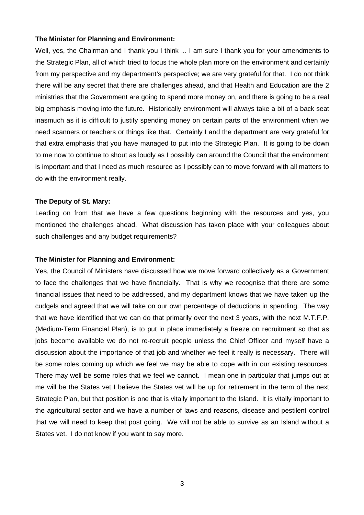#### **The Minister for Planning and Environment:**

Well, yes, the Chairman and I thank you I think ... I am sure I thank you for your amendments to the Strategic Plan, all of which tried to focus the whole plan more on the environment and certainly from my perspective and my department's perspective; we are very grateful for that. I do not think there will be any secret that there are challenges ahead, and that Health and Education are the 2 ministries that the Government are going to spend more money on, and there is going to be a real big emphasis moving into the future. Historically environment will always take a bit of a back seat inasmuch as it is difficult to justify spending money on certain parts of the environment when we need scanners or teachers or things like that. Certainly I and the department are very grateful for that extra emphasis that you have managed to put into the Strategic Plan. It is going to be down to me now to continue to shout as loudly as I possibly can around the Council that the environment is important and that I need as much resource as I possibly can to move forward with all matters to do with the environment really.

#### **The Deputy of St. Mary:**

Leading on from that we have a few questions beginning with the resources and yes, you mentioned the challenges ahead. What discussion has taken place with your colleagues about such challenges and any budget requirements?

#### **The Minister for Planning and Environment:**

Yes, the Council of Ministers have discussed how we move forward collectively as a Government to face the challenges that we have financially. That is why we recognise that there are some financial issues that need to be addressed, and my department knows that we have taken up the cudgels and agreed that we will take on our own percentage of deductions in spending. The way that we have identified that we can do that primarily over the next 3 years, with the next M.T.F.P. (Medium-Term Financial Plan), is to put in place immediately a freeze on recruitment so that as jobs become available we do not re-recruit people unless the Chief Officer and myself have a discussion about the importance of that job and whether we feel it really is necessary. There will be some roles coming up which we feel we may be able to cope with in our existing resources. There may well be some roles that we feel we cannot. I mean one in particular that jumps out at me will be the States vet I believe the States vet will be up for retirement in the term of the next Strategic Plan, but that position is one that is vitally important to the Island. It is vitally important to the agricultural sector and we have a number of laws and reasons, disease and pestilent control that we will need to keep that post going. We will not be able to survive as an Island without a States vet. I do not know if you want to say more.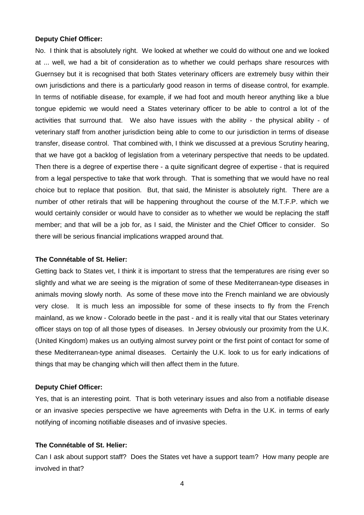#### **Deputy Chief Officer:**

No. I think that is absolutely right. We looked at whether we could do without one and we looked at ... well, we had a bit of consideration as to whether we could perhaps share resources with Guernsey but it is recognised that both States veterinary officers are extremely busy within their own jurisdictions and there is a particularly good reason in terms of disease control, for example. In terms of notifiable disease, for example, if we had foot and mouth hereor anything like a blue tongue epidemic we would need a States veterinary officer to be able to control a lot of the activities that surround that. We also have issues with the ability - the physical ability - of veterinary staff from another jurisdiction being able to come to our jurisdiction in terms of disease transfer, disease control. That combined with, I think we discussed at a previous Scrutiny hearing, that we have got a backlog of legislation from a veterinary perspective that needs to be updated. Then there is a degree of expertise there - a quite significant degree of expertise - that is required from a legal perspective to take that work through. That is something that we would have no real choice but to replace that position. But, that said, the Minister is absolutely right. There are a number of other retirals that will be happening throughout the course of the M.T.F.P. which we would certainly consider or would have to consider as to whether we would be replacing the staff member; and that will be a job for, as I said, the Minister and the Chief Officer to consider. So there will be serious financial implications wrapped around that.

#### **The Connétable of St. Helier:**

Getting back to States vet, I think it is important to stress that the temperatures are rising ever so slightly and what we are seeing is the migration of some of these Mediterranean-type diseases in animals moving slowly north. As some of these move into the French mainland we are obviously very close. It is much less an impossible for some of these insects to fly from the French mainland, as we know - Colorado beetle in the past - and it is really vital that our States veterinary officer stays on top of all those types of diseases. In Jersey obviously our proximity from the U.K. (United Kingdom) makes us an outlying almost survey point or the first point of contact for some of these Mediterranean-type animal diseases. Certainly the U.K. look to us for early indications of things that may be changing which will then affect them in the future.

#### **Deputy Chief Officer:**

Yes, that is an interesting point. That is both veterinary issues and also from a notifiable disease or an invasive species perspective we have agreements with Defra in the U.K. in terms of early notifying of incoming notifiable diseases and of invasive species.

## **The Connétable of St. Helier:**

Can I ask about support staff? Does the States vet have a support team? How many people are involved in that?

4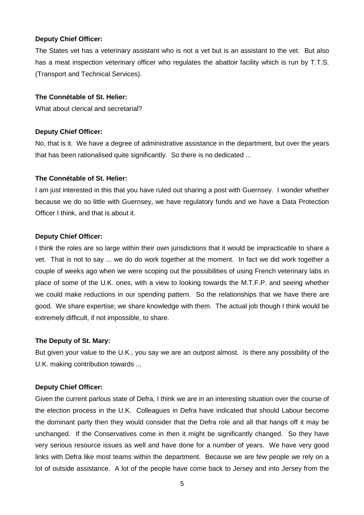#### **Deputy Chief Officer:**

The States vet has a veterinary assistant who is not a vet but is an assistant to the vet. But also has a meat inspection veterinary officer who regulates the abattoir facility which is run by T.T.S. (Transport and Technical Services).

## **The Connétable of St. Helier:**

What about clerical and secretarial?

#### **Deputy Chief Officer:**

No, that is it. We have a degree of administrative assistance in the department, but over the years that has been rationalised quite significantly. So there is no dedicated ...

#### **The Connétable of St. Helier:**

I am just interested in this that you have ruled out sharing a post with Guernsey. I wonder whether because we do so little with Guernsey, we have regulatory funds and we have a Data Protection Officer I think, and that is about it.

#### **Deputy Chief Officer:**

I think the roles are so large within their own jurisdictions that it would be impracticable to share a vet. That is not to say ... we do do work together at the moment. In fact we did work together a couple of weeks ago when we were scoping out the possibilities of using French veterinary labs in place of some of the U.K. ones, with a view to looking towards the M.T.F.P. and seeing whether we could make reductions in our spending pattern. So the relationships that we have there are good. We share expertise; we share knowledge with them. The actual job though I think would be extremely difficult, if not impossible, to share.

#### **The Deputy of St. Mary:**

But given your value to the U.K., you say we are an outpost almost. Is there any possibility of the U.K. making contribution towards ...

#### **Deputy Chief Officer:**

Given the current parlous state of Defra, I think we are in an interesting situation over the course of the election process in the U.K. Colleagues in Defra have indicated that should Labour become the dominant party then they would consider that the Defra role and all that hangs off it may be unchanged. If the Conservatives come in then it might be significantly changed. So they have very serious resource issues as well and have done for a number of years. We have very good links with Defra like most teams within the department. Because we are few people we rely on a lot of outside assistance. A lot of the people have come back to Jersey and into Jersey from the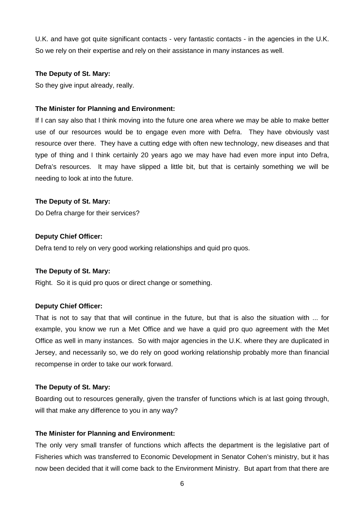U.K. and have got quite significant contacts - very fantastic contacts - in the agencies in the U.K. So we rely on their expertise and rely on their assistance in many instances as well.

## **The Deputy of St. Mary:**

So they give input already, really.

## **The Minister for Planning and Environment:**

If I can say also that I think moving into the future one area where we may be able to make better use of our resources would be to engage even more with Defra. They have obviously vast resource over there. They have a cutting edge with often new technology, new diseases and that type of thing and I think certainly 20 years ago we may have had even more input into Defra, Defra's resources. It may have slipped a little bit, but that is certainly something we will be needing to look at into the future.

## **The Deputy of St. Mary:**

Do Defra charge for their services?

## **Deputy Chief Officer:**

Defra tend to rely on very good working relationships and quid pro quos.

#### **The Deputy of St. Mary:**

Right. So it is quid pro quos or direct change or something.

## **Deputy Chief Officer:**

That is not to say that that will continue in the future, but that is also the situation with ... for example, you know we run a Met Office and we have a quid pro quo agreement with the Met Office as well in many instances. So with major agencies in the U.K. where they are duplicated in Jersey, and necessarily so, we do rely on good working relationship probably more than financial recompense in order to take our work forward.

#### **The Deputy of St. Mary:**

Boarding out to resources generally, given the transfer of functions which is at last going through, will that make any difference to you in any way?

#### **The Minister for Planning and Environment:**

The only very small transfer of functions which affects the department is the legislative part of Fisheries which was transferred to Economic Development in Senator Cohen's ministry, but it has now been decided that it will come back to the Environment Ministry. But apart from that there are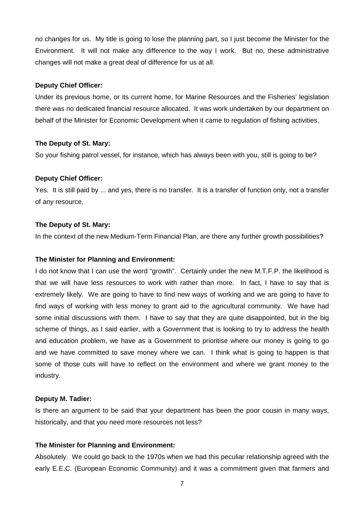no changes for us. My title is going to lose the planning part, so I just become the Minister for the Environment. It will not make any difference to the way I work. But no, these administrative changes will not make a great deal of difference for us at all.

## **Deputy Chief Officer:**

Under its previous home, or its current home, for Marine Resources and the Fisheries' legislation there was no dedicated financial resource allocated. It was work undertaken by our department on behalf of the Minister for Economic Development when it came to regulation of fishing activities.

## **The Deputy of St. Mary:**

So your fishing patrol vessel, for instance, which has always been with you, still is going to be?

## **Deputy Chief Officer:**

Yes. It is still paid by ... and yes, there is no transfer. It is a transfer of function only, not a transfer of any resource.

## **The Deputy of St. Mary:**

In the context of the new Medium-Term Financial Plan, are there any further growth possibilities?

#### **The Minister for Planning and Environment:**

I do not know that I can use the word "growth". Certainly under the new M.T.F.P. the likelihood is that we will have less resources to work with rather than more. In fact, I have to say that is extremely likely. We are going to have to find new ways of working and we are going to have to find ways of working with less money to grant aid to the agricultural community. We have had some initial discussions with them. I have to say that they are quite disappointed, but in the big scheme of things, as I said earlier, with a Government that is looking to try to address the health and education problem, we have as a Government to prioritise where our money is going to go and we have committed to save money where we can. I think what is going to happen is that some of those cuts will have to reflect on the environment and where we grant money to the industry.

#### **Deputy M. Tadier:**

Is there an argument to be said that your department has been the poor cousin in many ways, historically, and that you need more resources not less?

## **The Minister for Planning and Environment:**

Absolutely. We could go back to the 1970s when we had this peculiar relationship agreed with the early E.E.C. (European Economic Community) and it was a commitment given that farmers and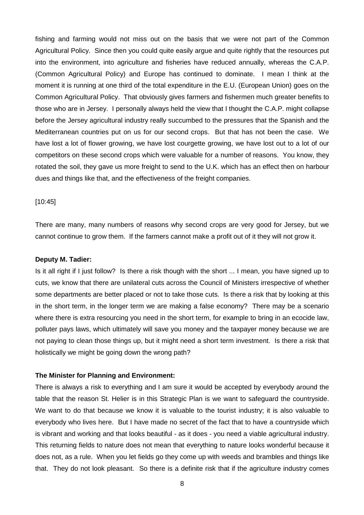fishing and farming would not miss out on the basis that we were not part of the Common Agricultural Policy. Since then you could quite easily argue and quite rightly that the resources put into the environment, into agriculture and fisheries have reduced annually, whereas the C.A.P. (Common Agricultural Policy) and Europe has continued to dominate. I mean I think at the moment it is running at one third of the total expenditure in the E.U. (European Union) goes on the Common Agricultural Policy. That obviously gives farmers and fishermen much greater benefits to those who are in Jersey. I personally always held the view that I thought the C.A.P. might collapse before the Jersey agricultural industry really succumbed to the pressures that the Spanish and the Mediterranean countries put on us for our second crops. But that has not been the case. We have lost a lot of flower growing, we have lost courgette growing, we have lost out to a lot of our competitors on these second crops which were valuable for a number of reasons. You know, they rotated the soil, they gave us more freight to send to the U.K. which has an effect then on harbour dues and things like that, and the effectiveness of the freight companies.

#### [10:45]

There are many, many numbers of reasons why second crops are very good for Jersey, but we cannot continue to grow them. If the farmers cannot make a profit out of it they will not grow it.

#### **Deputy M. Tadier:**

Is it all right if I just follow? Is there a risk though with the short ... I mean, you have signed up to cuts, we know that there are unilateral cuts across the Council of Ministers irrespective of whether some departments are better placed or not to take those cuts. Is there a risk that by looking at this in the short term, in the longer term we are making a false economy? There may be a scenario where there is extra resourcing you need in the short term, for example to bring in an ecocide law, polluter pays laws, which ultimately will save you money and the taxpayer money because we are not paying to clean those things up, but it might need a short term investment. Is there a risk that holistically we might be going down the wrong path?

#### **The Minister for Planning and Environment:**

There is always a risk to everything and I am sure it would be accepted by everybody around the table that the reason St. Helier is in this Strategic Plan is we want to safeguard the countryside. We want to do that because we know it is valuable to the tourist industry; it is also valuable to everybody who lives here. But I have made no secret of the fact that to have a countryside which is vibrant and working and that looks beautiful - as it does - you need a viable agricultural industry. This returning fields to nature does not mean that everything to nature looks wonderful because it does not, as a rule. When you let fields go they come up with weeds and brambles and things like that. They do not look pleasant. So there is a definite risk that if the agriculture industry comes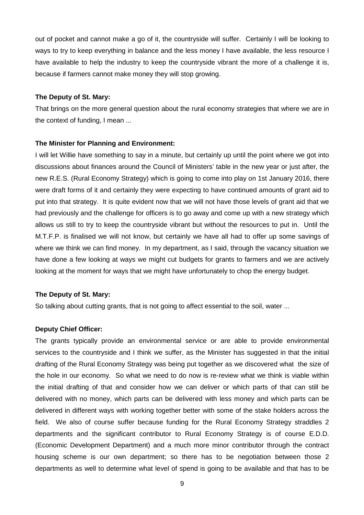out of pocket and cannot make a go of it, the countryside will suffer. Certainly I will be looking to ways to try to keep everything in balance and the less money I have available, the less resource I have available to help the industry to keep the countryside vibrant the more of a challenge it is, because if farmers cannot make money they will stop growing.

#### **The Deputy of St. Mary:**

That brings on the more general question about the rural economy strategies that where we are in the context of funding, I mean ...

## **The Minister for Planning and Environment:**

I will let Willie have something to say in a minute, but certainly up until the point where we got into discussions about finances around the Council of Ministers' table in the new year or just after, the new R.E.S. (Rural Economy Strategy) which is going to come into play on 1st January 2016, there were draft forms of it and certainly they were expecting to have continued amounts of grant aid to put into that strategy. It is quite evident now that we will not have those levels of grant aid that we had previously and the challenge for officers is to go away and come up with a new strategy which allows us still to try to keep the countryside vibrant but without the resources to put in. Until the M.T.F.P. is finalised we will not know, but certainly we have all had to offer up some savings of where we think we can find money. In my department, as I said, through the vacancy situation we have done a few looking at ways we might cut budgets for grants to farmers and we are actively looking at the moment for ways that we might have unfortunately to chop the energy budget.

## **The Deputy of St. Mary:**

So talking about cutting grants, that is not going to affect essential to the soil, water ...

#### **Deputy Chief Officer:**

The grants typically provide an environmental service or are able to provide environmental services to the countryside and I think we suffer, as the Minister has suggested in that the initial drafting of the Rural Economy Strategy was being put together as we discovered what the size of the hole in our economy. So what we need to do now is re-review what we think is viable within the initial drafting of that and consider how we can deliver or which parts of that can still be delivered with no money, which parts can be delivered with less money and which parts can be delivered in different ways with working together better with some of the stake holders across the field. We also of course suffer because funding for the Rural Economy Strategy straddles 2 departments and the significant contributor to Rural Economy Strategy is of course E.D.D. (Economic Development Department) and a much more minor contributor through the contract housing scheme is our own department; so there has to be negotiation between those 2 departments as well to determine what level of spend is going to be available and that has to be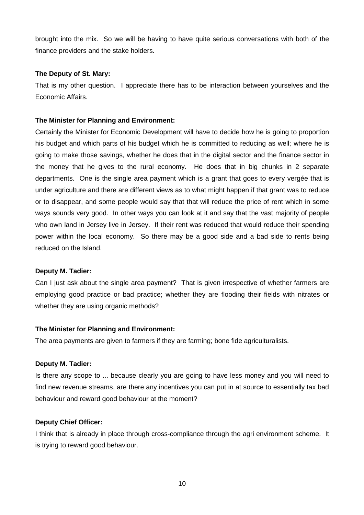brought into the mix. So we will be having to have quite serious conversations with both of the finance providers and the stake holders.

## **The Deputy of St. Mary:**

That is my other question. I appreciate there has to be interaction between yourselves and the Economic Affairs.

## **The Minister for Planning and Environment:**

Certainly the Minister for Economic Development will have to decide how he is going to proportion his budget and which parts of his budget which he is committed to reducing as well; where he is going to make those savings, whether he does that in the digital sector and the finance sector in the money that he gives to the rural economy. He does that in big chunks in 2 separate departments. One is the single area payment which is a grant that goes to every vergée that is under agriculture and there are different views as to what might happen if that grant was to reduce or to disappear, and some people would say that that will reduce the price of rent which in some ways sounds very good. In other ways you can look at it and say that the vast majority of people who own land in Jersey live in Jersey. If their rent was reduced that would reduce their spending power within the local economy. So there may be a good side and a bad side to rents being reduced on the Island.

## **Deputy M. Tadier:**

Can I just ask about the single area payment? That is given irrespective of whether farmers are employing good practice or bad practice; whether they are flooding their fields with nitrates or whether they are using organic methods?

## **The Minister for Planning and Environment:**

The area payments are given to farmers if they are farming; bone fide agriculturalists.

## **Deputy M. Tadier:**

Is there any scope to ... because clearly you are going to have less money and you will need to find new revenue streams, are there any incentives you can put in at source to essentially tax bad behaviour and reward good behaviour at the moment?

## **Deputy Chief Officer:**

I think that is already in place through cross-compliance through the agri environment scheme. It is trying to reward good behaviour.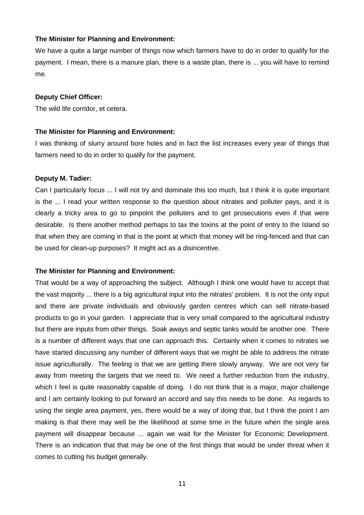## **The Minister for Planning and Environment:**

We have a quite a large number of things now which farmers have to do in order to qualify for the payment. I mean, there is a manure plan, there is a waste plan, there is ... you will have to remind me.

#### **Deputy Chief Officer:**

The wild life corridor, et cetera.

## **The Minister for Planning and Environment:**

I was thinking of slurry around bore holes and in fact the list increases every year of things that farmers need to do in order to qualify for the payment.

## **Deputy M. Tadier:**

Can I particularly focus ... I will not try and dominate this too much, but I think it is quite important is the ... I read your written response to the question about nitrates and polluter pays, and it is clearly a tricky area to go to pinpoint the polluters and to get prosecutions even if that were desirable. Is there another method perhaps to tax the toxins at the point of entry to the Island so that when they are coming in that is the point at which that money will be ring-fenced and that can be used for clean-up purposes? It might act as a disincentive.

## **The Minister for Planning and Environment:**

That would be a way of approaching the subject. Although I think one would have to accept that the vast majority ... there is a big agricultural input into the nitrates' problem. It is not the only input and there are private individuals and obviously garden centres which can sell nitrate-based products to go in your garden. I appreciate that is very small compared to the agricultural industry but there are inputs from other things. Soak aways and septic tanks would be another one. There is a number of different ways that one can approach this. Certainly when it comes to nitrates we have started discussing any number of different ways that we might be able to address the nitrate issue agriculturally. The feeling is that we are getting there slowly anyway. We are not very far away from meeting the targets that we need to. We need a further reduction from the industry, which I feel is quite reasonably capable of doing. I do not think that is a major, major challenge and I am certainly looking to put forward an accord and say this needs to be done. As regards to using the single area payment, yes, there would be a way of doing that, but I think the point I am making is that there may well be the likelihood at some time in the future when the single area payment will disappear because ... again we wait for the Minister for Economic Development. There is an indication that that may be one of the first things that would be under threat when it comes to cutting his budget generally.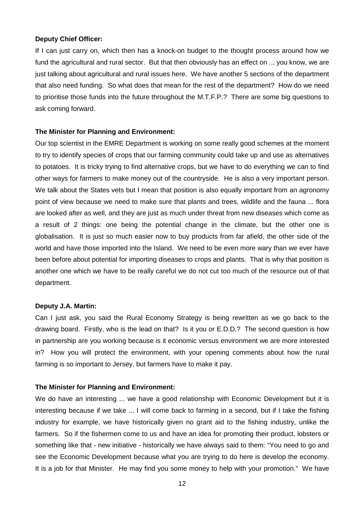#### **Deputy Chief Officer:**

If I can just carry on, which then has a knock-on budget to the thought process around how we fund the agricultural and rural sector. But that then obviously has an effect on ... you know, we are just talking about agricultural and rural issues here. We have another 5 sections of the department that also need funding. So what does that mean for the rest of the department? How do we need to prioritise those funds into the future throughout the M.T.F.P.? There are some big questions to ask coming forward.

#### **The Minister for Planning and Environment:**

Our top scientist in the EMRE Department is working on some really good schemes at the moment to try to identify species of crops that our farming community could take up and use as alternatives to potatoes. It is tricky trying to find alternative crops, but we have to do everything we can to find other ways for farmers to make money out of the countryside. He is also a very important person. We talk about the States vets but I mean that position is also equally important from an agronomy point of view because we need to make sure that plants and trees, wildlife and the fauna ... flora are looked after as well, and they are just as much under threat from new diseases which come as a result of 2 things: one being the potential change in the climate, but the other one is globalisation. It is just so much easier now to buy products from far afield, the other side of the world and have those imported into the Island. We need to be even more wary than we ever have been before about potential for importing diseases to crops and plants. That is why that position is another one which we have to be really careful we do not cut too much of the resource out of that department.

#### **Deputy J.A. Martin:**

Can I just ask, you said the Rural Economy Strategy is being rewritten as we go back to the drawing board. Firstly, who is the lead on that? Is it you or E.D.D.? The second question is how in partnership are you working because is it economic versus environment we are more interested in? How you will protect the environment, with your opening comments about how the rural farming is so important to Jersey, but farmers have to make it pay.

#### **The Minister for Planning and Environment:**

We do have an interesting ... we have a good relationship with Economic Development but it is interesting because if we take ... I will come back to farming in a second, but if I take the fishing industry for example, we have historically given no grant aid to the fishing industry, unlike the farmers. So if the fishermen come to us and have an idea for promoting their product, lobsters or something like that - new initiative - historically we have always said to them: "You need to go and see the Economic Development because what you are trying to do here is develop the economy. It is a job for that Minister. He may find you some money to help with your promotion." We have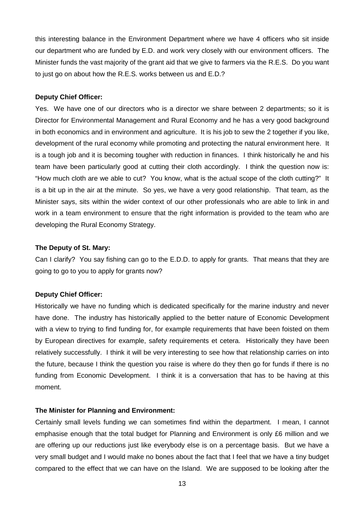this interesting balance in the Environment Department where we have 4 officers who sit inside our department who are funded by E.D. and work very closely with our environment officers. The Minister funds the vast majority of the grant aid that we give to farmers via the R.E.S. Do you want to just go on about how the R.E.S. works between us and E.D.?

#### **Deputy Chief Officer:**

Yes. We have one of our directors who is a director we share between 2 departments; so it is Director for Environmental Management and Rural Economy and he has a very good background in both economics and in environment and agriculture. It is his job to sew the 2 together if you like, development of the rural economy while promoting and protecting the natural environment here. It is a tough job and it is becoming tougher with reduction in finances. I think historically he and his team have been particularly good at cutting their cloth accordingly. I think the question now is: "How much cloth are we able to cut? You know, what is the actual scope of the cloth cutting?" It is a bit up in the air at the minute. So yes, we have a very good relationship. That team, as the Minister says, sits within the wider context of our other professionals who are able to link in and work in a team environment to ensure that the right information is provided to the team who are developing the Rural Economy Strategy.

## **The Deputy of St. Mary:**

Can I clarify? You say fishing can go to the E.D.D. to apply for grants. That means that they are going to go to you to apply for grants now?

## **Deputy Chief Officer:**

Historically we have no funding which is dedicated specifically for the marine industry and never have done. The industry has historically applied to the better nature of Economic Development with a view to trying to find funding for, for example requirements that have been foisted on them by European directives for example, safety requirements et cetera. Historically they have been relatively successfully. I think it will be very interesting to see how that relationship carries on into the future, because I think the question you raise is where do they then go for funds if there is no funding from Economic Development. I think it is a conversation that has to be having at this moment.

#### **The Minister for Planning and Environment:**

Certainly small levels funding we can sometimes find within the department. I mean, I cannot emphasise enough that the total budget for Planning and Environment is only £6 million and we are offering up our reductions just like everybody else is on a percentage basis. But we have a very small budget and I would make no bones about the fact that I feel that we have a tiny budget compared to the effect that we can have on the Island. We are supposed to be looking after the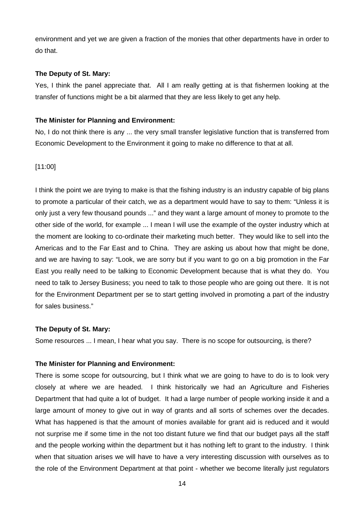environment and yet we are given a fraction of the monies that other departments have in order to do that.

#### **The Deputy of St. Mary:**

Yes, I think the panel appreciate that. All I am really getting at is that fishermen looking at the transfer of functions might be a bit alarmed that they are less likely to get any help.

## **The Minister for Planning and Environment:**

No, I do not think there is any ... the very small transfer legislative function that is transferred from Economic Development to the Environment it going to make no difference to that at all.

## [11:00]

I think the point we are trying to make is that the fishing industry is an industry capable of big plans to promote a particular of their catch, we as a department would have to say to them: "Unless it is only just a very few thousand pounds ..." and they want a large amount of money to promote to the other side of the world, for example ... I mean I will use the example of the oyster industry which at the moment are looking to co-ordinate their marketing much better. They would like to sell into the Americas and to the Far East and to China. They are asking us about how that might be done, and we are having to say: "Look, we are sorry but if you want to go on a big promotion in the Far East you really need to be talking to Economic Development because that is what they do. You need to talk to Jersey Business; you need to talk to those people who are going out there. It is not for the Environment Department per se to start getting involved in promoting a part of the industry for sales business."

#### **The Deputy of St. Mary:**

Some resources ... I mean, I hear what you say. There is no scope for outsourcing, is there?

#### **The Minister for Planning and Environment:**

There is some scope for outsourcing, but I think what we are going to have to do is to look very closely at where we are headed. I think historically we had an Agriculture and Fisheries Department that had quite a lot of budget. It had a large number of people working inside it and a large amount of money to give out in way of grants and all sorts of schemes over the decades. What has happened is that the amount of monies available for grant aid is reduced and it would not surprise me if some time in the not too distant future we find that our budget pays all the staff and the people working within the department but it has nothing left to grant to the industry. I think when that situation arises we will have to have a very interesting discussion with ourselves as to the role of the Environment Department at that point - whether we become literally just regulators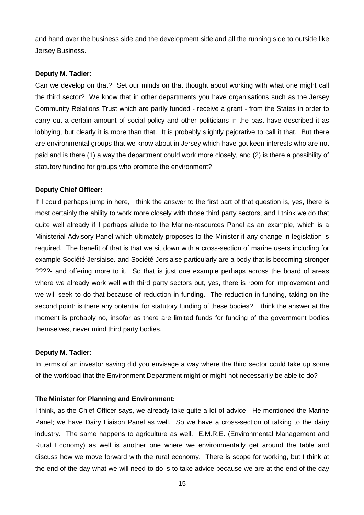and hand over the business side and the development side and all the running side to outside like Jersey Business.

#### **Deputy M. Tadier:**

Can we develop on that? Set our minds on that thought about working with what one might call the third sector? We know that in other departments you have organisations such as the Jersey Community Relations Trust which are partly funded - receive a grant - from the States in order to carry out a certain amount of social policy and other politicians in the past have described it as lobbying, but clearly it is more than that. It is probably slightly pejorative to call it that. But there are environmental groups that we know about in Jersey which have got keen interests who are not paid and is there (1) a way the department could work more closely, and (2) is there a possibility of statutory funding for groups who promote the environment?

## **Deputy Chief Officer:**

If I could perhaps jump in here, I think the answer to the first part of that question is, yes, there is most certainly the ability to work more closely with those third party sectors, and I think we do that quite well already if I perhaps allude to the Marine-resources Panel as an example, which is a Ministerial Advisory Panel which ultimately proposes to the Minister if any change in legislation is required. The benefit of that is that we sit down with a cross-section of marine users including for example Société Jersiaise; and Société Jersiaise particularly are a body that is becoming stronger ????- and offering more to it. So that is just one example perhaps across the board of areas where we already work well with third party sectors but, yes, there is room for improvement and we will seek to do that because of reduction in funding. The reduction in funding, taking on the second point: is there any potential for statutory funding of these bodies? I think the answer at the moment is probably no, insofar as there are limited funds for funding of the government bodies themselves, never mind third party bodies.

## **Deputy M. Tadier:**

In terms of an investor saving did you envisage a way where the third sector could take up some of the workload that the Environment Department might or might not necessarily be able to do?

## **The Minister for Planning and Environment:**

I think, as the Chief Officer says, we already take quite a lot of advice. He mentioned the Marine Panel; we have Dairy Liaison Panel as well. So we have a cross-section of talking to the dairy industry. The same happens to agriculture as well. E.M.R.E. (Environmental Management and Rural Economy) as well is another one where we environmentally get around the table and discuss how we move forward with the rural economy. There is scope for working, but I think at the end of the day what we will need to do is to take advice because we are at the end of the day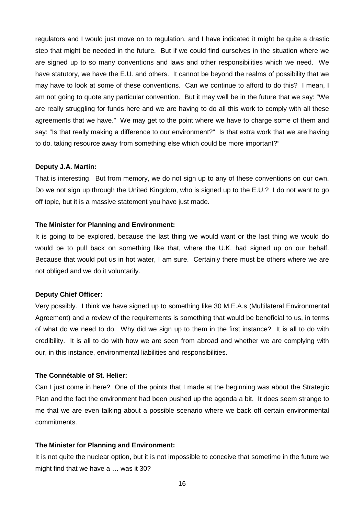regulators and I would just move on to regulation, and I have indicated it might be quite a drastic step that might be needed in the future. But if we could find ourselves in the situation where we are signed up to so many conventions and laws and other responsibilities which we need. We have statutory, we have the E.U. and others. It cannot be beyond the realms of possibility that we may have to look at some of these conventions. Can we continue to afford to do this? I mean, I am not going to quote any particular convention. But it may well be in the future that we say: "We are really struggling for funds here and we are having to do all this work to comply with all these agreements that we have." We may get to the point where we have to charge some of them and say: "Is that really making a difference to our environment?" Is that extra work that we are having to do, taking resource away from something else which could be more important?"

#### **Deputy J.A. Martin:**

That is interesting. But from memory, we do not sign up to any of these conventions on our own. Do we not sign up through the United Kingdom, who is signed up to the E.U.? I do not want to go off topic, but it is a massive statement you have just made.

#### **The Minister for Planning and Environment:**

It is going to be explored, because the last thing we would want or the last thing we would do would be to pull back on something like that, where the U.K. had signed up on our behalf. Because that would put us in hot water, I am sure. Certainly there must be others where we are not obliged and we do it voluntarily.

## **Deputy Chief Officer:**

Very possibly. I think we have signed up to something like 30 M.E.A.s (Multilateral Environmental Agreement) and a review of the requirements is something that would be beneficial to us, in terms of what do we need to do. Why did we sign up to them in the first instance? It is all to do with credibility. It is all to do with how we are seen from abroad and whether we are complying with our, in this instance, environmental liabilities and responsibilities.

#### **The Connétable of St. Helier:**

Can I just come in here? One of the points that I made at the beginning was about the Strategic Plan and the fact the environment had been pushed up the agenda a bit. It does seem strange to me that we are even talking about a possible scenario where we back off certain environmental commitments.

#### **The Minister for Planning and Environment:**

It is not quite the nuclear option, but it is not impossible to conceive that sometime in the future we might find that we have a … was it 30?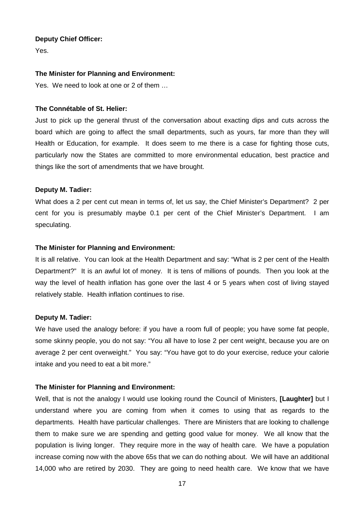#### **Deputy Chief Officer:**

Yes.

## **The Minister for Planning and Environment:**

Yes. We need to look at one or 2 of them …

## **The Connétable of St. Helier:**

Just to pick up the general thrust of the conversation about exacting dips and cuts across the board which are going to affect the small departments, such as yours, far more than they will Health or Education, for example. It does seem to me there is a case for fighting those cuts, particularly now the States are committed to more environmental education, best practice and things like the sort of amendments that we have brought.

## **Deputy M. Tadier:**

What does a 2 per cent cut mean in terms of, let us say, the Chief Minister's Department? 2 per cent for you is presumably maybe 0.1 per cent of the Chief Minister's Department. I am speculating.

## **The Minister for Planning and Environment:**

It is all relative. You can look at the Health Department and say: "What is 2 per cent of the Health Department?" It is an awful lot of money. It is tens of millions of pounds. Then you look at the way the level of health inflation has gone over the last 4 or 5 years when cost of living stayed relatively stable. Health inflation continues to rise.

#### **Deputy M. Tadier:**

We have used the analogy before: if you have a room full of people; you have some fat people, some skinny people, you do not say: "You all have to lose 2 per cent weight, because you are on average 2 per cent overweight." You say: "You have got to do your exercise, reduce your calorie intake and you need to eat a bit more."

## **The Minister for Planning and Environment:**

Well, that is not the analogy I would use looking round the Council of Ministers, **[Laughter]** but I understand where you are coming from when it comes to using that as regards to the departments. Health have particular challenges. There are Ministers that are looking to challenge them to make sure we are spending and getting good value for money. We all know that the population is living longer. They require more in the way of health care. We have a population increase coming now with the above 65s that we can do nothing about. We will have an additional 14,000 who are retired by 2030. They are going to need health care. We know that we have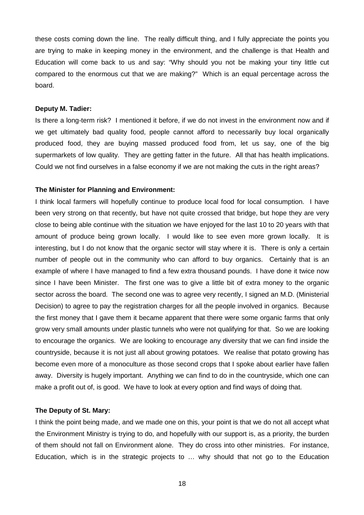these costs coming down the line. The really difficult thing, and I fully appreciate the points you are trying to make in keeping money in the environment, and the challenge is that Health and Education will come back to us and say: "Why should you not be making your tiny little cut compared to the enormous cut that we are making?" Which is an equal percentage across the board.

#### **Deputy M. Tadier:**

Is there a long-term risk? I mentioned it before, if we do not invest in the environment now and if we get ultimately bad quality food, people cannot afford to necessarily buy local organically produced food, they are buying massed produced food from, let us say, one of the big supermarkets of low quality. They are getting fatter in the future. All that has health implications. Could we not find ourselves in a false economy if we are not making the cuts in the right areas?

#### **The Minister for Planning and Environment:**

I think local farmers will hopefully continue to produce local food for local consumption. I have been very strong on that recently, but have not quite crossed that bridge, but hope they are very close to being able continue with the situation we have enjoyed for the last 10 to 20 years with that amount of produce being grown locally. I would like to see even more grown locally. It is interesting, but I do not know that the organic sector will stay where it is. There is only a certain number of people out in the community who can afford to buy organics. Certainly that is an example of where I have managed to find a few extra thousand pounds. I have done it twice now since I have been Minister. The first one was to give a little bit of extra money to the organic sector across the board. The second one was to agree very recently, I signed an M.D. (Ministerial Decision) to agree to pay the registration charges for all the people involved in organics. Because the first money that I gave them it became apparent that there were some organic farms that only grow very small amounts under plastic tunnels who were not qualifying for that. So we are looking to encourage the organics. We are looking to encourage any diversity that we can find inside the countryside, because it is not just all about growing potatoes. We realise that potato growing has become even more of a monoculture as those second crops that I spoke about earlier have fallen away. Diversity is hugely important. Anything we can find to do in the countryside, which one can make a profit out of, is good. We have to look at every option and find ways of doing that.

#### **The Deputy of St. Mary:**

I think the point being made, and we made one on this, your point is that we do not all accept what the Environment Ministry is trying to do, and hopefully with our support is, as a priority, the burden of them should not fall on Environment alone. They do cross into other ministries. For instance, Education, which is in the strategic projects to … why should that not go to the Education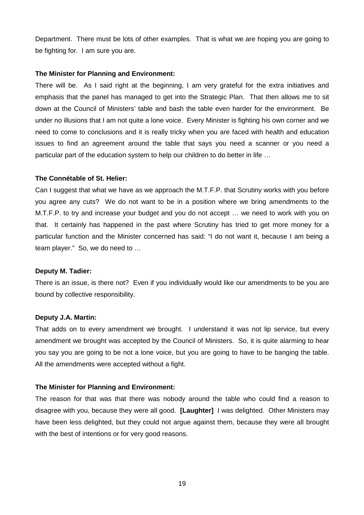Department. There must be lots of other examples. That is what we are hoping you are going to be fighting for. I am sure you are.

#### **The Minister for Planning and Environment:**

There will be. As I said right at the beginning. I am very grateful for the extra initiatives and emphasis that the panel has managed to get into the Strategic Plan. That then allows me to sit down at the Council of Ministers' table and bash the table even harder for the environment. Be under no illusions that I am not quite a lone voice. Every Minister is fighting his own corner and we need to come to conclusions and it is really tricky when you are faced with health and education issues to find an agreement around the table that says you need a scanner or you need a particular part of the education system to help our children to do better in life …

## **The Connétable of St. Helier:**

Can I suggest that what we have as we approach the M.T.F.P. that Scrutiny works with you before you agree any cuts? We do not want to be in a position where we bring amendments to the M.T.F.P. to try and increase your budget and you do not accept … we need to work with you on that. It certainly has happened in the past where Scrutiny has tried to get more money for a particular function and the Minister concerned has said: "I do not want it, because I am being a team player." So, we do need to …

#### **Deputy M. Tadier:**

There is an issue, is there not? Even if you individually would like our amendments to be you are bound by collective responsibility.

#### **Deputy J.A. Martin:**

That adds on to every amendment we brought. I understand it was not lip service, but every amendment we brought was accepted by the Council of Ministers. So, it is quite alarming to hear you say you are going to be not a lone voice, but you are going to have to be banging the table. All the amendments were accepted without a fight.

#### **The Minister for Planning and Environment:**

The reason for that was that there was nobody around the table who could find a reason to disagree with you, because they were all good. **[Laughter]** I was delighted. Other Ministers may have been less delighted, but they could not argue against them, because they were all brought with the best of intentions or for very good reasons.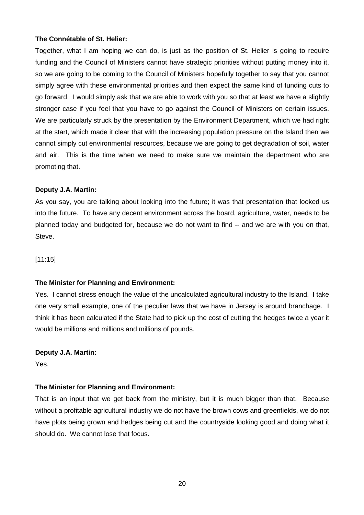## **The Connétable of St. Helier:**

Together, what I am hoping we can do, is just as the position of St. Helier is going to require funding and the Council of Ministers cannot have strategic priorities without putting money into it, so we are going to be coming to the Council of Ministers hopefully together to say that you cannot simply agree with these environmental priorities and then expect the same kind of funding cuts to go forward. I would simply ask that we are able to work with you so that at least we have a slightly stronger case if you feel that you have to go against the Council of Ministers on certain issues. We are particularly struck by the presentation by the Environment Department, which we had right at the start, which made it clear that with the increasing population pressure on the Island then we cannot simply cut environmental resources, because we are going to get degradation of soil, water and air. This is the time when we need to make sure we maintain the department who are promoting that.

## **Deputy J.A. Martin:**

As you say, you are talking about looking into the future; it was that presentation that looked us into the future. To have any decent environment across the board, agriculture, water, needs to be planned today and budgeted for, because we do not want to find -- and we are with you on that, Steve.

[11:15]

## **The Minister for Planning and Environment:**

Yes. I cannot stress enough the value of the uncalculated agricultural industry to the Island. I take one very small example, one of the peculiar laws that we have in Jersey is around branchage. I think it has been calculated if the State had to pick up the cost of cutting the hedges twice a year it would be millions and millions and millions of pounds.

## **Deputy J.A. Martin:**

Yes.

## **The Minister for Planning and Environment:**

That is an input that we get back from the ministry, but it is much bigger than that. Because without a profitable agricultural industry we do not have the brown cows and greenfields, we do not have plots being grown and hedges being cut and the countryside looking good and doing what it should do. We cannot lose that focus.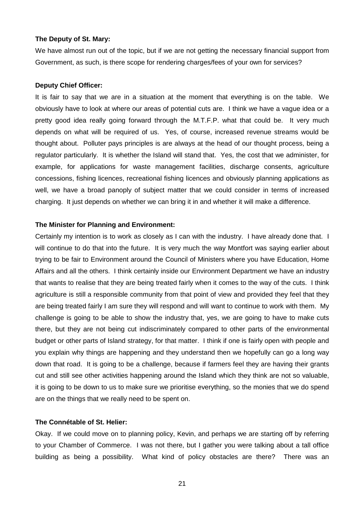#### **The Deputy of St. Mary:**

We have almost run out of the topic, but if we are not getting the necessary financial support from Government, as such, is there scope for rendering charges/fees of your own for services?

#### **Deputy Chief Officer:**

It is fair to say that we are in a situation at the moment that everything is on the table. We obviously have to look at where our areas of potential cuts are. I think we have a vague idea or a pretty good idea really going forward through the M.T.F.P. what that could be. It very much depends on what will be required of us. Yes, of course, increased revenue streams would be thought about. Polluter pays principles is are always at the head of our thought process, being a regulator particularly. It is whether the Island will stand that. Yes, the cost that we administer, for example, for applications for waste management facilities, discharge consents, agriculture concessions, fishing licences, recreational fishing licences and obviously planning applications as well, we have a broad panoply of subject matter that we could consider in terms of increased charging. It just depends on whether we can bring it in and whether it will make a difference.

#### **The Minister for Planning and Environment:**

Certainly my intention is to work as closely as I can with the industry. I have already done that. I will continue to do that into the future. It is very much the way Montfort was saying earlier about trying to be fair to Environment around the Council of Ministers where you have Education, Home Affairs and all the others. I think certainly inside our Environment Department we have an industry that wants to realise that they are being treated fairly when it comes to the way of the cuts. I think agriculture is still a responsible community from that point of view and provided they feel that they are being treated fairly I am sure they will respond and will want to continue to work with them. My challenge is going to be able to show the industry that, yes, we are going to have to make cuts there, but they are not being cut indiscriminately compared to other parts of the environmental budget or other parts of Island strategy, for that matter. I think if one is fairly open with people and you explain why things are happening and they understand then we hopefully can go a long way down that road. It is going to be a challenge, because if farmers feel they are having their grants cut and still see other activities happening around the Island which they think are not so valuable, it is going to be down to us to make sure we prioritise everything, so the monies that we do spend are on the things that we really need to be spent on.

#### **The Connétable of St. Helier:**

Okay. If we could move on to planning policy, Kevin, and perhaps we are starting off by referring to your Chamber of Commerce. I was not there, but I gather you were talking about a tall office building as being a possibility. What kind of policy obstacles are there? There was an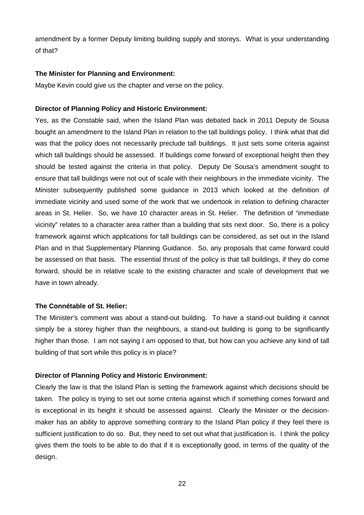amendment by a former Deputy limiting building supply and storeys. What is your understanding of that?

## **The Minister for Planning and Environment:**

Maybe Kevin could give us the chapter and verse on the policy.

## **Director of Planning Policy and Historic Environment:**

Yes, as the Constable said, when the Island Plan was debated back in 2011 Deputy de Sousa bought an amendment to the Island Plan in relation to the tall buildings policy. I think what that did was that the policy does not necessarily preclude tall buildings. It just sets some criteria against which tall buildings should be assessed. If buildings come forward of exceptional height then they should be tested against the criteria in that policy. Deputy De Sousa's amendment sought to ensure that tall buildings were not out of scale with their neighbours in the immediate vicinity. The Minister subsequently published some guidance in 2013 which looked at the definition of immediate vicinity and used some of the work that we undertook in relation to defining character areas in St. Helier. So, we have 10 character areas in St. Helier. The definition of "immediate vicinity" relates to a character area rather than a building that sits next door. So, there is a policy framework against which applications for tall buildings can be considered, as set out in the Island Plan and in that Supplementary Planning Guidance. So, any proposals that came forward could be assessed on that basis. The essential thrust of the policy is that tall buildings, if they do come forward, should be in relative scale to the existing character and scale of development that we have in town already.

## **The Connétable of St. Helier:**

The Minister's comment was about a stand-out building. To have a stand-out building it cannot simply be a storey higher than the neighbours, a stand-out building is going to be significantly higher than those. I am not saying I am opposed to that, but how can you achieve any kind of tall building of that sort while this policy is in place?

## **Director of Planning Policy and Historic Environment:**

Clearly the law is that the Island Plan is setting the framework against which decisions should be taken. The policy is trying to set out some criteria against which if something comes forward and is exceptional in its height it should be assessed against. Clearly the Minister or the decisionmaker has an ability to approve something contrary to the Island Plan policy if they feel there is sufficient justification to do so. But, they need to set out what that justification is. I think the policy gives them the tools to be able to do that if it is exceptionally good, in terms of the quality of the design.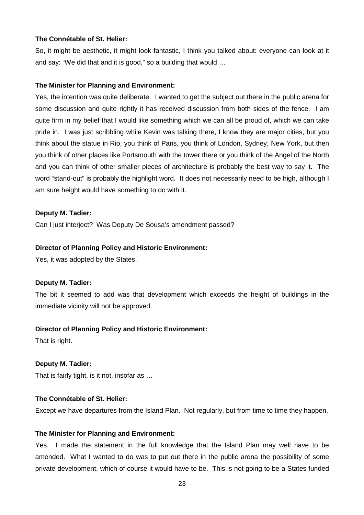## **The Connétable of St. Helier:**

So, it might be aesthetic, it might look fantastic, I think you talked about: everyone can look at it and say: "We did that and it is good," so a building that would …

## **The Minister for Planning and Environment:**

Yes, the intention was quite deliberate. I wanted to get the subject out there in the public arena for some discussion and quite rightly it has received discussion from both sides of the fence. I am quite firm in my belief that I would like something which we can all be proud of, which we can take pride in. I was just scribbling while Kevin was talking there, I know they are major cities, but you think about the statue in Rio, you think of Paris, you think of London, Sydney, New York, but then you think of other places like Portsmouth with the tower there or you think of the Angel of the North and you can think of other smaller pieces of architecture is probably the best way to say it. The word "stand-out" is probably the highlight word. It does not necessarily need to be high, although I am sure height would have something to do with it.

## **Deputy M. Tadier:**

Can I just interject? Was Deputy De Sousa's amendment passed?

## **Director of Planning Policy and Historic Environment:**

Yes, it was adopted by the States.

#### **Deputy M. Tadier:**

The bit it seemed to add was that development which exceeds the height of buildings in the immediate vicinity will not be approved.

## **Director of Planning Policy and Historic Environment:**

That is right.

## **Deputy M. Tadier:**

That is fairly tight, is it not, insofar as …

## **The Connétable of St. Helier:**

Except we have departures from the Island Plan. Not regularly, but from time to time they happen.

#### **The Minister for Planning and Environment:**

Yes. I made the statement in the full knowledge that the Island Plan may well have to be amended. What I wanted to do was to put out there in the public arena the possibility of some private development, which of course it would have to be. This is not going to be a States funded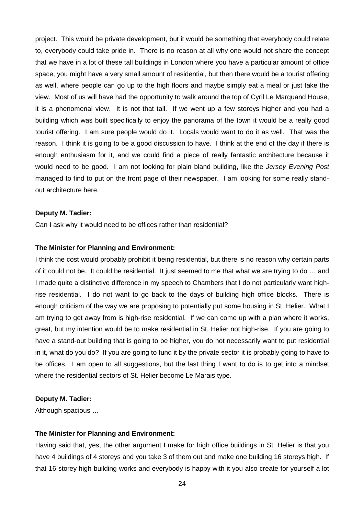project. This would be private development, but it would be something that everybody could relate to, everybody could take pride in. There is no reason at all why one would not share the concept that we have in a lot of these tall buildings in London where you have a particular amount of office space, you might have a very small amount of residential, but then there would be a tourist offering as well, where people can go up to the high floors and maybe simply eat a meal or just take the view. Most of us will have had the opportunity to walk around the top of Cyril Le Marquand House, it is a phenomenal view. It is not that tall. If we went up a few storeys higher and you had a building which was built specifically to enjoy the panorama of the town it would be a really good tourist offering. I am sure people would do it. Locals would want to do it as well. That was the reason. I think it is going to be a good discussion to have. I think at the end of the day if there is enough enthusiasm for it, and we could find a piece of really fantastic architecture because it would need to be good. I am not looking for plain bland building, like the Jersey Evening Post managed to find to put on the front page of their newspaper. I am looking for some really standout architecture here.

#### **Deputy M. Tadier:**

Can I ask why it would need to be offices rather than residential?

#### **The Minister for Planning and Environment:**

I think the cost would probably prohibit it being residential, but there is no reason why certain parts of it could not be. It could be residential. It just seemed to me that what we are trying to do … and I made quite a distinctive difference in my speech to Chambers that I do not particularly want highrise residential. I do not want to go back to the days of building high office blocks. There is enough criticism of the way we are proposing to potentially put some housing in St. Helier. What I am trying to get away from is high-rise residential. If we can come up with a plan where it works, great, but my intention would be to make residential in St. Helier not high-rise. If you are going to have a stand-out building that is going to be higher, you do not necessarily want to put residential in it, what do you do? If you are going to fund it by the private sector it is probably going to have to be offices. I am open to all suggestions, but the last thing I want to do is to get into a mindset where the residential sectors of St. Helier become Le Marais type.

## **Deputy M. Tadier:**

Although spacious …

#### **The Minister for Planning and Environment:**

Having said that, yes, the other argument I make for high office buildings in St. Helier is that you have 4 buildings of 4 storeys and you take 3 of them out and make one building 16 storeys high. If that 16-storey high building works and everybody is happy with it you also create for yourself a lot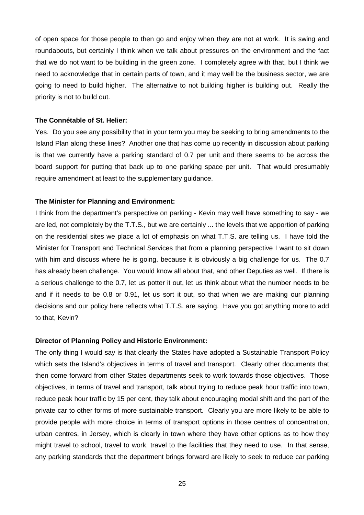of open space for those people to then go and enjoy when they are not at work. It is swing and roundabouts, but certainly I think when we talk about pressures on the environment and the fact that we do not want to be building in the green zone. I completely agree with that, but I think we need to acknowledge that in certain parts of town, and it may well be the business sector, we are going to need to build higher. The alternative to not building higher is building out. Really the priority is not to build out.

#### **The Connétable of St. Helier:**

Yes. Do you see any possibility that in your term you may be seeking to bring amendments to the Island Plan along these lines? Another one that has come up recently in discussion about parking is that we currently have a parking standard of 0.7 per unit and there seems to be across the board support for putting that back up to one parking space per unit. That would presumably require amendment at least to the supplementary guidance.

#### **The Minister for Planning and Environment:**

I think from the department's perspective on parking - Kevin may well have something to say - we are led, not completely by the T.T.S., but we are certainly ... the levels that we apportion of parking on the residential sites we place a lot of emphasis on what T.T.S. are telling us. I have told the Minister for Transport and Technical Services that from a planning perspective I want to sit down with him and discuss where he is going, because it is obviously a big challenge for us. The 0.7 has already been challenge. You would know all about that, and other Deputies as well. If there is a serious challenge to the 0.7, let us potter it out, let us think about what the number needs to be and if it needs to be 0.8 or 0.91, let us sort it out, so that when we are making our planning decisions and our policy here reflects what T.T.S. are saying. Have you got anything more to add to that, Kevin?

#### **Director of Planning Policy and Historic Environment:**

The only thing I would say is that clearly the States have adopted a Sustainable Transport Policy which sets the Island's objectives in terms of travel and transport. Clearly other documents that then come forward from other States departments seek to work towards those objectives. Those objectives, in terms of travel and transport, talk about trying to reduce peak hour traffic into town, reduce peak hour traffic by 15 per cent, they talk about encouraging modal shift and the part of the private car to other forms of more sustainable transport. Clearly you are more likely to be able to provide people with more choice in terms of transport options in those centres of concentration, urban centres, in Jersey, which is clearly in town where they have other options as to how they might travel to school, travel to work, travel to the facilities that they need to use. In that sense, any parking standards that the department brings forward are likely to seek to reduce car parking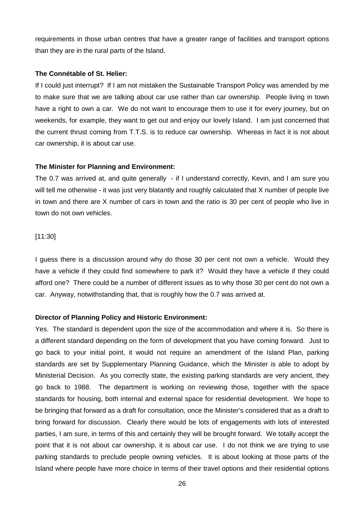requirements in those urban centres that have a greater range of facilities and transport options than they are in the rural parts of the Island.

#### **The Connétable of St. Helier:**

If I could just interrupt? If I am not mistaken the Sustainable Transport Policy was amended by me to make sure that we are talking about car use rather than car ownership. People living in town have a right to own a car. We do not want to encourage them to use it for every journey, but on weekends, for example, they want to get out and enjoy our lovely Island. I am just concerned that the current thrust coming from T.T.S. is to reduce car ownership. Whereas in fact it is not about car ownership, it is about car use.

#### **The Minister for Planning and Environment:**

The 0.7 was arrived at, and quite generally - if I understand correctly, Kevin, and I am sure you will tell me otherwise - it was just very blatantly and roughly calculated that X number of people live in town and there are X number of cars in town and the ratio is 30 per cent of people who live in town do not own vehicles.

#### [11:30]

I guess there is a discussion around why do those 30 per cent not own a vehicle. Would they have a vehicle if they could find somewhere to park it? Would they have a vehicle if they could afford one? There could be a number of different issues as to why those 30 per cent do not own a car. Anyway, notwithstanding that, that is roughly how the 0.7 was arrived at.

#### **Director of Planning Policy and Historic Environment:**

Yes. The standard is dependent upon the size of the accommodation and where it is. So there is a different standard depending on the form of development that you have coming forward. Just to go back to your initial point, it would not require an amendment of the Island Plan, parking standards are set by Supplementary Planning Guidance, which the Minister is able to adopt by Ministerial Decision. As you correctly state, the existing parking standards are very ancient, they go back to 1988. The department is working on reviewing those, together with the space standards for housing, both internal and external space for residential development. We hope to be bringing that forward as a draft for consultation, once the Minister's considered that as a draft to bring forward for discussion. Clearly there would be lots of engagements with lots of interested parties, I am sure, in terms of this and certainly they will be brought forward. We totally accept the point that it is not about car ownership, it is about car use. I do not think we are trying to use parking standards to preclude people owning vehicles. It is about looking at those parts of the Island where people have more choice in terms of their travel options and their residential options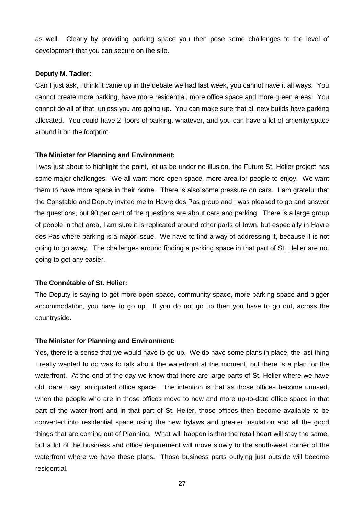as well. Clearly by providing parking space you then pose some challenges to the level of development that you can secure on the site.

#### **Deputy M. Tadier:**

Can I just ask, I think it came up in the debate we had last week, you cannot have it all ways. You cannot create more parking, have more residential, more office space and more green areas. You cannot do all of that, unless you are going up. You can make sure that all new builds have parking allocated. You could have 2 floors of parking, whatever, and you can have a lot of amenity space around it on the footprint.

## **The Minister for Planning and Environment:**

I was just about to highlight the point, let us be under no illusion, the Future St. Helier project has some major challenges. We all want more open space, more area for people to enjoy. We want them to have more space in their home. There is also some pressure on cars. I am grateful that the Constable and Deputy invited me to Havre des Pas group and I was pleased to go and answer the questions, but 90 per cent of the questions are about cars and parking. There is a large group of people in that area, I am sure it is replicated around other parts of town, but especially in Havre des Pas where parking is a major issue. We have to find a way of addressing it, because it is not going to go away. The challenges around finding a parking space in that part of St. Helier are not going to get any easier.

#### **The Connétable of St. Helier:**

The Deputy is saying to get more open space, community space, more parking space and bigger accommodation, you have to go up. If you do not go up then you have to go out, across the countryside.

#### **The Minister for Planning and Environment:**

Yes, there is a sense that we would have to go up. We do have some plans in place, the last thing I really wanted to do was to talk about the waterfront at the moment, but there is a plan for the waterfront. At the end of the day we know that there are large parts of St. Helier where we have old, dare I say, antiquated office space. The intention is that as those offices become unused, when the people who are in those offices move to new and more up-to-date office space in that part of the water front and in that part of St. Helier, those offices then become available to be converted into residential space using the new bylaws and greater insulation and all the good things that are coming out of Planning. What will happen is that the retail heart will stay the same, but a lot of the business and office requirement will move slowly to the south-west corner of the waterfront where we have these plans. Those business parts outlying just outside will become residential.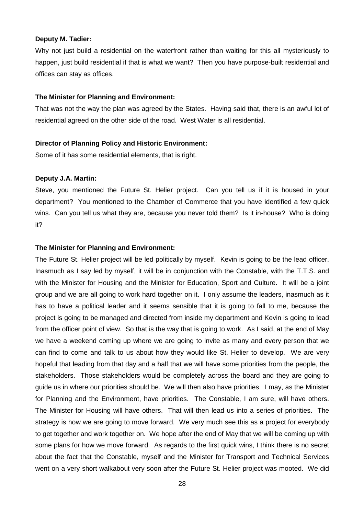#### **Deputy M. Tadier:**

Why not just build a residential on the waterfront rather than waiting for this all mysteriously to happen, just build residential if that is what we want? Then you have purpose-built residential and offices can stay as offices.

#### **The Minister for Planning and Environment:**

That was not the way the plan was agreed by the States. Having said that, there is an awful lot of residential agreed on the other side of the road. West Water is all residential.

#### **Director of Planning Policy and Historic Environment:**

Some of it has some residential elements, that is right.

#### **Deputy J.A. Martin:**

Steve, you mentioned the Future St. Helier project. Can you tell us if it is housed in your department? You mentioned to the Chamber of Commerce that you have identified a few quick wins. Can you tell us what they are, because you never told them? Is it in-house? Who is doing it?

#### **The Minister for Planning and Environment:**

The Future St. Helier project will be led politically by myself. Kevin is going to be the lead officer. Inasmuch as I say led by myself, it will be in conjunction with the Constable, with the T.T.S. and with the Minister for Housing and the Minister for Education, Sport and Culture. It will be a joint group and we are all going to work hard together on it. I only assume the leaders, inasmuch as it has to have a political leader and it seems sensible that it is going to fall to me, because the project is going to be managed and directed from inside my department and Kevin is going to lead from the officer point of view. So that is the way that is going to work. As I said, at the end of May we have a weekend coming up where we are going to invite as many and every person that we can find to come and talk to us about how they would like St. Helier to develop. We are very hopeful that leading from that day and a half that we will have some priorities from the people, the stakeholders. Those stakeholders would be completely across the board and they are going to guide us in where our priorities should be. We will then also have priorities. I may, as the Minister for Planning and the Environment, have priorities. The Constable, I am sure, will have others. The Minister for Housing will have others. That will then lead us into a series of priorities. The strategy is how we are going to move forward. We very much see this as a project for everybody to get together and work together on. We hope after the end of May that we will be coming up with some plans for how we move forward. As regards to the first quick wins, I think there is no secret about the fact that the Constable, myself and the Minister for Transport and Technical Services went on a very short walkabout very soon after the Future St. Helier project was mooted. We did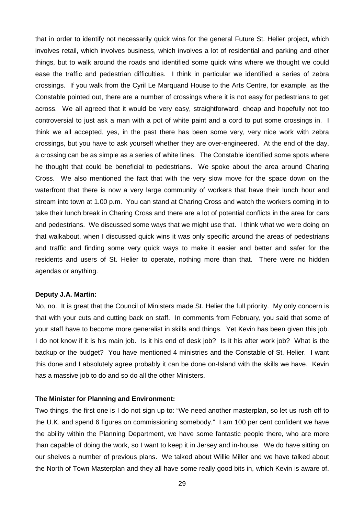that in order to identify not necessarily quick wins for the general Future St. Helier project, which involves retail, which involves business, which involves a lot of residential and parking and other things, but to walk around the roads and identified some quick wins where we thought we could ease the traffic and pedestrian difficulties. I think in particular we identified a series of zebra crossings. If you walk from the Cyril Le Marquand House to the Arts Centre, for example, as the Constable pointed out, there are a number of crossings where it is not easy for pedestrians to get across. We all agreed that it would be very easy, straightforward, cheap and hopefully not too controversial to just ask a man with a pot of white paint and a cord to put some crossings in. I think we all accepted, yes, in the past there has been some very, very nice work with zebra crossings, but you have to ask yourself whether they are over-engineered. At the end of the day, a crossing can be as simple as a series of white lines. The Constable identified some spots where he thought that could be beneficial to pedestrians. We spoke about the area around Charing Cross. We also mentioned the fact that with the very slow move for the space down on the waterfront that there is now a very large community of workers that have their lunch hour and stream into town at 1.00 p.m. You can stand at Charing Cross and watch the workers coming in to take their lunch break in Charing Cross and there are a lot of potential conflicts in the area for cars and pedestrians. We discussed some ways that we might use that. I think what we were doing on that walkabout, when I discussed quick wins it was only specific around the areas of pedestrians and traffic and finding some very quick ways to make it easier and better and safer for the residents and users of St. Helier to operate, nothing more than that. There were no hidden agendas or anything.

## **Deputy J.A. Martin:**

No, no. It is great that the Council of Ministers made St. Helier the full priority. My only concern is that with your cuts and cutting back on staff. In comments from February, you said that some of your staff have to become more generalist in skills and things. Yet Kevin has been given this job. I do not know if it is his main job. Is it his end of desk job? Is it his after work job? What is the backup or the budget? You have mentioned 4 ministries and the Constable of St. Helier. I want this done and I absolutely agree probably it can be done on-Island with the skills we have. Kevin has a massive job to do and so do all the other Ministers.

#### **The Minister for Planning and Environment:**

Two things, the first one is I do not sign up to: "We need another masterplan, so let us rush off to the U.K. and spend 6 figures on commissioning somebody." I am 100 per cent confident we have the ability within the Planning Department, we have some fantastic people there, who are more than capable of doing the work, so I want to keep it in Jersey and in-house. We do have sitting on our shelves a number of previous plans. We talked about Willie Miller and we have talked about the North of Town Masterplan and they all have some really good bits in, which Kevin is aware of.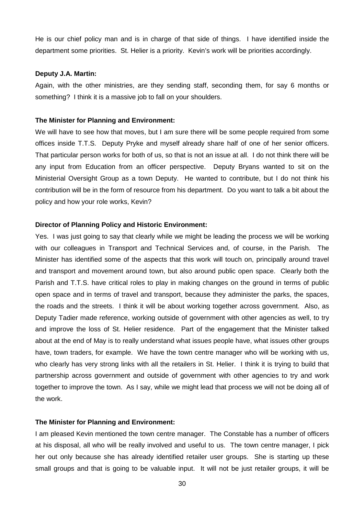He is our chief policy man and is in charge of that side of things. I have identified inside the department some priorities. St. Helier is a priority. Kevin's work will be priorities accordingly.

#### **Deputy J.A. Martin:**

Again, with the other ministries, are they sending staff, seconding them, for say 6 months or something? I think it is a massive job to fall on your shoulders.

#### **The Minister for Planning and Environment:**

We will have to see how that moves, but I am sure there will be some people required from some offices inside T.T.S. Deputy Pryke and myself already share half of one of her senior officers. That particular person works for both of us, so that is not an issue at all. I do not think there will be any input from Education from an officer perspective. Deputy Bryans wanted to sit on the Ministerial Oversight Group as a town Deputy. He wanted to contribute, but I do not think his contribution will be in the form of resource from his department. Do you want to talk a bit about the policy and how your role works, Kevin?

#### **Director of Planning Policy and Historic Environment:**

Yes. I was just going to say that clearly while we might be leading the process we will be working with our colleagues in Transport and Technical Services and, of course, in the Parish. The Minister has identified some of the aspects that this work will touch on, principally around travel and transport and movement around town, but also around public open space. Clearly both the Parish and T.T.S. have critical roles to play in making changes on the ground in terms of public open space and in terms of travel and transport, because they administer the parks, the spaces, the roads and the streets. I think it will be about working together across government. Also, as Deputy Tadier made reference, working outside of government with other agencies as well, to try and improve the loss of St. Helier residence. Part of the engagement that the Minister talked about at the end of May is to really understand what issues people have, what issues other groups have, town traders, for example. We have the town centre manager who will be working with us, who clearly has very strong links with all the retailers in St. Helier. I think it is trying to build that partnership across government and outside of government with other agencies to try and work together to improve the town. As I say, while we might lead that process we will not be doing all of the work.

#### **The Minister for Planning and Environment:**

I am pleased Kevin mentioned the town centre manager. The Constable has a number of officers at his disposal, all who will be really involved and useful to us. The town centre manager, I pick her out only because she has already identified retailer user groups. She is starting up these small groups and that is going to be valuable input. It will not be just retailer groups, it will be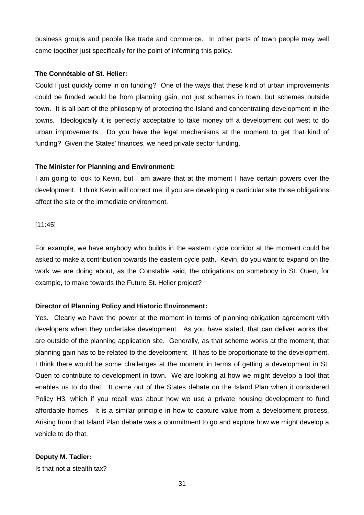business groups and people like trade and commerce. In other parts of town people may well come together just specifically for the point of informing this policy.

## **The Connétable of St. Helier:**

Could I just quickly come in on funding? One of the ways that these kind of urban improvements could be funded would be from planning gain, not just schemes in town, but schemes outside town. It is all part of the philosophy of protecting the Island and concentrating development in the towns. Ideologically it is perfectly acceptable to take money off a development out west to do urban improvements. Do you have the legal mechanisms at the moment to get that kind of funding? Given the States' finances, we need private sector funding.

## **The Minister for Planning and Environment:**

I am going to look to Kevin, but I am aware that at the moment I have certain powers over the development. I think Kevin will correct me, if you are developing a particular site those obligations affect the site or the immediate environment.

[11:45]

For example, we have anybody who builds in the eastern cycle corridor at the moment could be asked to make a contribution towards the eastern cycle path. Kevin, do you want to expand on the work we are doing about, as the Constable said, the obligations on somebody in St. Ouen, for example, to make towards the Future St. Helier project?

## **Director of Planning Policy and Historic Environment:**

Yes. Clearly we have the power at the moment in terms of planning obligation agreement with developers when they undertake development. As you have stated, that can deliver works that are outside of the planning application site. Generally, as that scheme works at the moment, that planning gain has to be related to the development. It has to be proportionate to the development. I think there would be some challenges at the moment in terms of getting a development in St. Ouen to contribute to development in town. We are looking at how we might develop a tool that enables us to do that. It came out of the States debate on the Island Plan when it considered Policy H3, which if you recall was about how we use a private housing development to fund affordable homes. It is a similar principle in how to capture value from a development process. Arising from that Island Plan debate was a commitment to go and explore how we might develop a vehicle to do that.

## **Deputy M. Tadier:**

Is that not a stealth tax?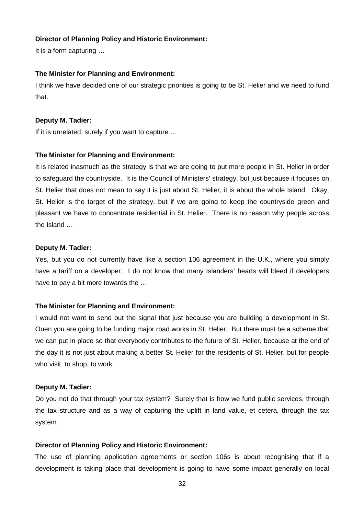## **Director of Planning Policy and Historic Environment:**

It is a form capturing …

## **The Minister for Planning and Environment:**

I think we have decided one of our strategic priorities is going to be St. Helier and we need to fund that.

#### **Deputy M. Tadier:**

If it is unrelated, surely if you want to capture …

## **The Minister for Planning and Environment:**

It is related inasmuch as the strategy is that we are going to put more people in St. Helier in order to safeguard the countryside. It is the Council of Ministers' strategy, but just because it focuses on St. Helier that does not mean to say it is just about St. Helier, it is about the whole Island. Okay, St. Helier is the target of the strategy, but if we are going to keep the countryside green and pleasant we have to concentrate residential in St. Helier. There is no reason why people across the Island …

## **Deputy M. Tadier:**

Yes, but you do not currently have like a section 106 agreement in the U.K., where you simply have a tariff on a developer. I do not know that many Islanders' hearts will bleed if developers have to pay a bit more towards the …

## **The Minister for Planning and Environment:**

I would not want to send out the signal that just because you are building a development in St. Ouen you are going to be funding major road works in St. Helier. But there must be a scheme that we can put in place so that everybody contributes to the future of St. Helier, because at the end of the day it is not just about making a better St. Helier for the residents of St. Helier, but for people who visit, to shop, to work.

#### **Deputy M. Tadier:**

Do you not do that through your tax system? Surely that is how we fund public services, through the tax structure and as a way of capturing the uplift in land value, et cetera, through the tax system.

#### **Director of Planning Policy and Historic Environment:**

The use of planning application agreements or section 106s is about recognising that if a development is taking place that development is going to have some impact generally on local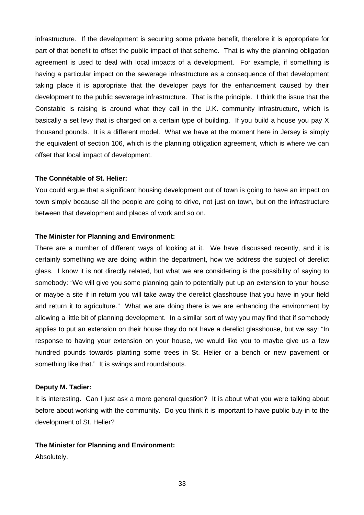infrastructure. If the development is securing some private benefit, therefore it is appropriate for part of that benefit to offset the public impact of that scheme. That is why the planning obligation agreement is used to deal with local impacts of a development. For example, if something is having a particular impact on the sewerage infrastructure as a consequence of that development taking place it is appropriate that the developer pays for the enhancement caused by their development to the public sewerage infrastructure. That is the principle. I think the issue that the Constable is raising is around what they call in the U.K. community infrastructure, which is basically a set levy that is charged on a certain type of building. If you build a house you pay X thousand pounds. It is a different model. What we have at the moment here in Jersey is simply the equivalent of section 106, which is the planning obligation agreement, which is where we can offset that local impact of development.

#### **The Connétable of St. Helier:**

You could argue that a significant housing development out of town is going to have an impact on town simply because all the people are going to drive, not just on town, but on the infrastructure between that development and places of work and so on.

#### **The Minister for Planning and Environment:**

There are a number of different ways of looking at it. We have discussed recently, and it is certainly something we are doing within the department, how we address the subject of derelict glass. I know it is not directly related, but what we are considering is the possibility of saying to somebody: "We will give you some planning gain to potentially put up an extension to your house or maybe a site if in return you will take away the derelict glasshouse that you have in your field and return it to agriculture." What we are doing there is we are enhancing the environment by allowing a little bit of planning development. In a similar sort of way you may find that if somebody applies to put an extension on their house they do not have a derelict glasshouse, but we say: "In response to having your extension on your house, we would like you to maybe give us a few hundred pounds towards planting some trees in St. Helier or a bench or new pavement or something like that." It is swings and roundabouts.

#### **Deputy M. Tadier:**

It is interesting. Can I just ask a more general question? It is about what you were talking about before about working with the community. Do you think it is important to have public buy-in to the development of St. Helier?

#### **The Minister for Planning and Environment:**

Absolutely.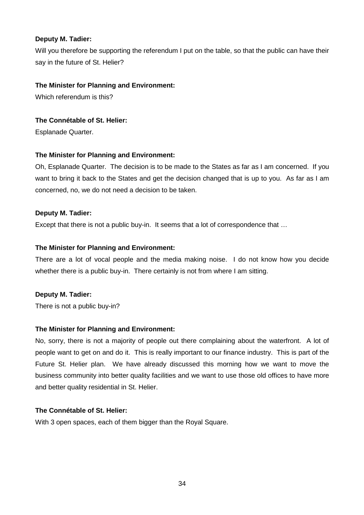## **Deputy M. Tadier:**

Will you therefore be supporting the referendum I put on the table, so that the public can have their say in the future of St. Helier?

## **The Minister for Planning and Environment:**

Which referendum is this?

## **The Connétable of St. Helier:**

Esplanade Quarter.

## **The Minister for Planning and Environment:**

Oh, Esplanade Quarter. The decision is to be made to the States as far as I am concerned. If you want to bring it back to the States and get the decision changed that is up to you. As far as I am concerned, no, we do not need a decision to be taken.

## **Deputy M. Tadier:**

Except that there is not a public buy-in. It seems that a lot of correspondence that ...

## **The Minister for Planning and Environment:**

There are a lot of vocal people and the media making noise. I do not know how you decide whether there is a public buy-in. There certainly is not from where I am sitting.

## **Deputy M. Tadier:**

There is not a public buy-in?

## **The Minister for Planning and Environment:**

No, sorry, there is not a majority of people out there complaining about the waterfront. A lot of people want to get on and do it. This is really important to our finance industry. This is part of the Future St. Helier plan. We have already discussed this morning how we want to move the business community into better quality facilities and we want to use those old offices to have more and better quality residential in St. Helier.

## **The Connétable of St. Helier:**

With 3 open spaces, each of them bigger than the Royal Square.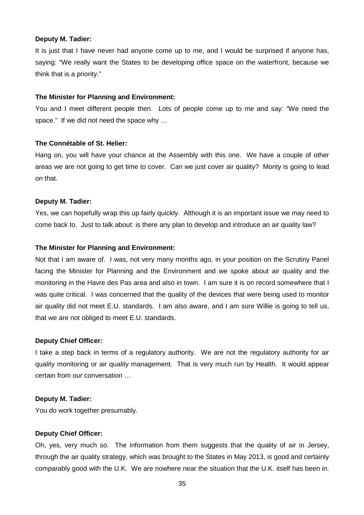#### **Deputy M. Tadier:**

It is just that I have never had anyone come up to me, and I would be surprised if anyone has, saying: "We really want the States to be developing office space on the waterfront, because we think that is a priority."

#### **The Minister for Planning and Environment:**

You and I meet different people then. Lots of people come up to me and say: "We need the space." If we did not need the space why ...

#### **The Connétable of St. Helier:**

Hang on, you will have your chance at the Assembly with this one. We have a couple of other areas we are not going to get time to cover. Can we just cover air quality? Monty is going to lead on that.

#### **Deputy M. Tadier:**

Yes, we can hopefully wrap this up fairly quickly. Although it is an important issue we may need to come back to. Just to talk about: is there any plan to develop and introduce an air quality law?

#### **The Minister for Planning and Environment:**

Not that I am aware of. I was, not very many months ago, in your position on the Scrutiny Panel facing the Minister for Planning and the Environment and we spoke about air quality and the monitoring in the Havre des Pas area and also in town. I am sure it is on record somewhere that I was quite critical. I was concerned that the quality of the devices that were being used to monitor air quality did not meet E.U. standards. I am also aware, and I am sure Willie is going to tell us, that we are not obliged to meet E.U. standards.

#### **Deputy Chief Officer:**

I take a step back in terms of a regulatory authority. We are not the regulatory authority for air quality monitoring or air quality management. That is very much run by Health. It would appear certain from our conversation …

#### **Deputy M. Tadier:**

You do work together presumably.

#### **Deputy Chief Officer:**

Oh, yes, very much so. The information from them suggests that the quality of air in Jersey, through the air quality strategy, which was brought to the States in May 2013, is good and certainly comparably good with the U.K. We are nowhere near the situation that the U.K. itself has been in.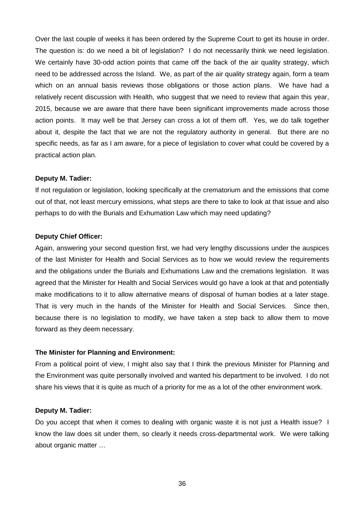Over the last couple of weeks it has been ordered by the Supreme Court to get its house in order. The question is: do we need a bit of legislation? I do not necessarily think we need legislation. We certainly have 30-odd action points that came off the back of the air quality strategy, which need to be addressed across the Island. We, as part of the air quality strategy again, form a team which on an annual basis reviews those obligations or those action plans. We have had a relatively recent discussion with Health, who suggest that we need to review that again this year, 2015, because we are aware that there have been significant improvements made across those action points. It may well be that Jersey can cross a lot of them off. Yes, we do talk together about it, despite the fact that we are not the regulatory authority in general. But there are no specific needs, as far as I am aware, for a piece of legislation to cover what could be covered by a practical action plan.

#### **Deputy M. Tadier:**

If not regulation or legislation, looking specifically at the crematorium and the emissions that come out of that, not least mercury emissions, what steps are there to take to look at that issue and also perhaps to do with the Burials and Exhumation Law which may need updating?

#### **Deputy Chief Officer:**

Again, answering your second question first, we had very lengthy discussions under the auspices of the last Minister for Health and Social Services as to how we would review the requirements and the obligations under the Burials and Exhumations Law and the cremations legislation. It was agreed that the Minister for Health and Social Services would go have a look at that and potentially make modifications to it to allow alternative means of disposal of human bodies at a later stage. That is very much in the hands of the Minister for Health and Social Services. Since then, because there is no legislation to modify, we have taken a step back to allow them to move forward as they deem necessary.

#### **The Minister for Planning and Environment:**

From a political point of view, I might also say that I think the previous Minister for Planning and the Environment was quite personally involved and wanted his department to be involved. I do not share his views that it is quite as much of a priority for me as a lot of the other environment work.

#### **Deputy M. Tadier:**

Do you accept that when it comes to dealing with organic waste it is not just a Health issue? I know the law does sit under them, so clearly it needs cross-departmental work. We were talking about organic matter …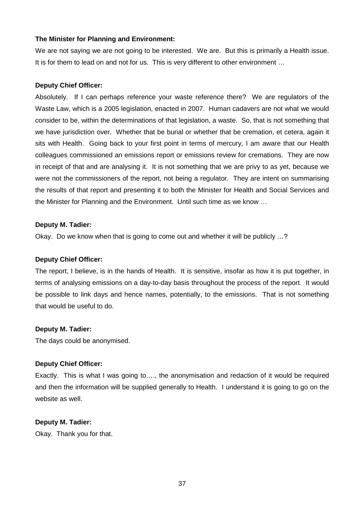## **The Minister for Planning and Environment:**

We are not saying we are not going to be interested. We are. But this is primarily a Health issue. It is for them to lead on and not for us. This is very different to other environment ...

## **Deputy Chief Officer:**

Absolutely. If I can perhaps reference your waste reference there? We are regulators of the Waste Law, which is a 2005 legislation, enacted in 2007. Human cadavers are not what we would consider to be, within the determinations of that legislation, a waste. So, that is not something that we have jurisdiction over. Whether that be burial or whether that be cremation, et cetera, again it sits with Health. Going back to your first point in terms of mercury, I am aware that our Health colleagues commissioned an emissions report or emissions review for cremations. They are now in receipt of that and are analysing it. It is not something that we are privy to as yet, because we were not the commissioners of the report, not being a regulator. They are intent on summarising the results of that report and presenting it to both the Minister for Health and Social Services and the Minister for Planning and the Environment. Until such time as we know …

## **Deputy M. Tadier:**

Okay. Do we know when that is going to come out and whether it will be publicly …?

#### **Deputy Chief Officer:**

The report, I believe, is in the hands of Health. It is sensitive, insofar as how it is put together, in terms of analysing emissions on a day-to-day basis throughout the process of the report. It would be possible to link days and hence names, potentially, to the emissions. That is not something that would be useful to do.

## **Deputy M. Tadier:**

The days could be anonymised.

## **Deputy Chief Officer:**

Exactly. This is what I was going to…., the anonymisation and redaction of it would be required and then the information will be supplied generally to Health. I understand it is going to go on the website as well.

## **Deputy M. Tadier:**

Okay. Thank you for that.